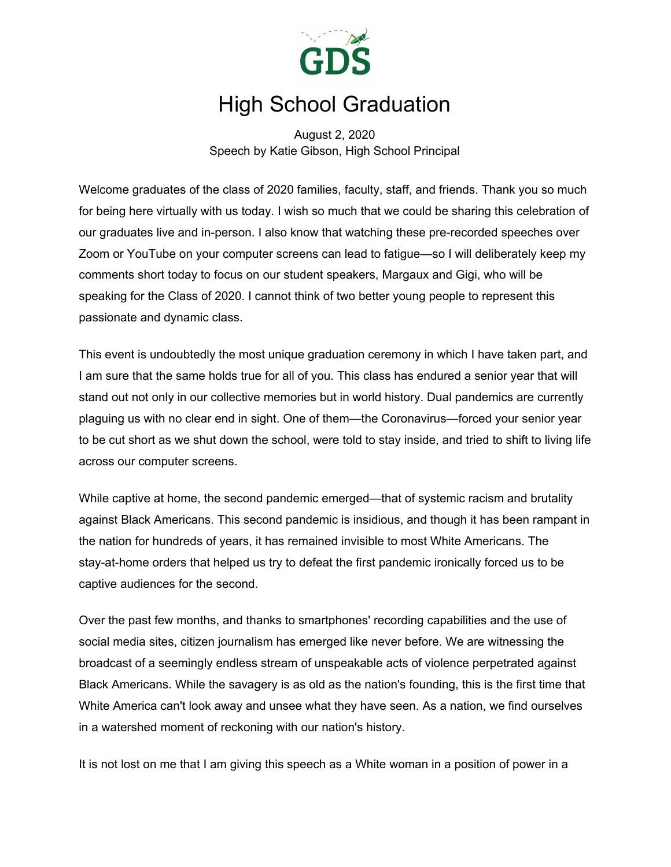

## High School Graduation

August 2, 2020 Speech by Katie Gibson, High School Principal

Welcome graduates of the class of 2020 families, faculty, staff, and friends. Thank you so much for being here virtually with us today. I wish so much that we could be sharing this celebration of our graduates live and in-person. I also know that watching these pre-recorded speeches over Zoom or YouTube on your computer screens can lead to fatigue—so I will deliberately keep my comments short today to focus on our student speakers, Margaux and Gigi, who will be speaking for the Class of 2020. I cannot think of two better young people to represent this passionate and dynamic class.

This event is undoubtedly the most unique graduation ceremony in which I have taken part, and I am sure that the same holds true for all of you. This class has endured a senior year that will stand out not only in our collective memories but in world history. Dual pandemics are currently plaguing us with no clear end in sight. One of them—the Coronavirus—forced your senior year to be cut short as we shut down the school, were told to stay inside, and tried to shift to living life across our computer screens.

While captive at home, the second pandemic emerged—that of systemic racism and brutality against Black Americans. This second pandemic is insidious, and though it has been rampant in the nation for hundreds of years, it has remained invisible to most White Americans. The stay-at-home orders that helped us try to defeat the first pandemic ironically forced us to be captive audiences for the second.

Over the past few months, and thanks to smartphones' recording capabilities and the use of social media sites, citizen journalism has emerged like never before. We are witnessing the broadcast of a seemingly endless stream of unspeakable acts of violence perpetrated against Black Americans. While the savagery is as old as the nation's founding, this is the first time that White America can't look away and unsee what they have seen. As a nation, we find ourselves in a watershed moment of reckoning with our nation's history.

It is not lost on me that I am giving this speech as a White woman in a position of power in a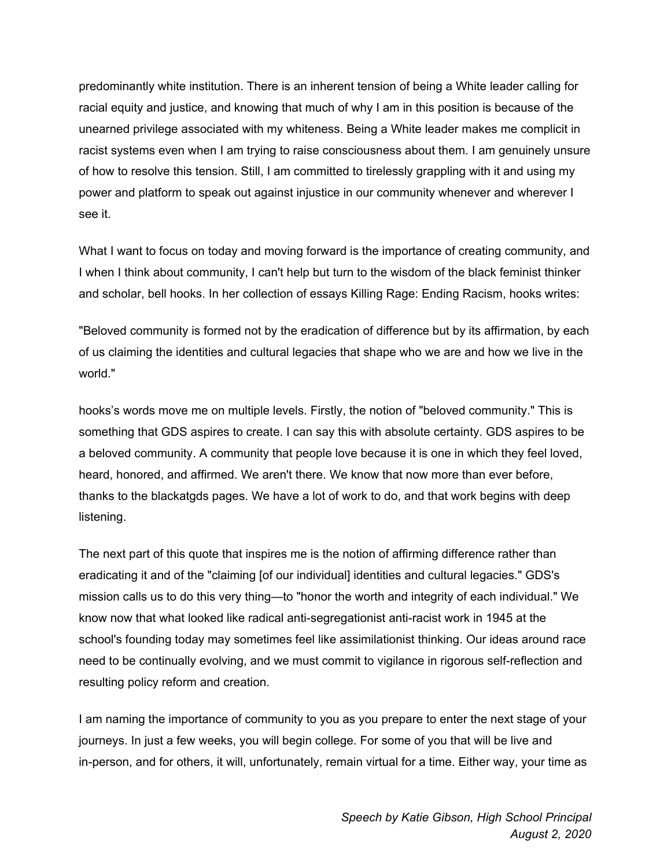predominantly white institution. There is an inherent tension of being a White leader calling for racial equity and justice, and knowing that much of why I am in this position is because of the unearned privilege associated with my whiteness. Being a White leader makes me complicit in racist systems even when I am trying to raise consciousness about them. I am genuinely unsure of how to resolve this tension. Still, I am committed to tirelessly grappling with it and using my power and platform to speak out against injustice in our community whenever and wherever I see it.

What I want to focus on today and moving forward is the importance of creating community, and I when I think about community, I can't help but turn to the wisdom of the black feminist thinker and scholar, bell hooks. In her collection of essays Killing Rage: Ending Racism, hooks writes:

"Beloved community is formed not by the eradication of difference but by its affirmation, by each of us claiming the identities and cultural legacies that shape who we are and how we live in the world."

hooks's words move me on multiple levels. Firstly, the notion of "beloved community." This is something that GDS aspires to create. I can say this with absolute certainty. GDS aspires to be a beloved community. A community that people love because it is one in which they feel loved, heard, honored, and affirmed. We aren't there. We know that now more than ever before, thanks to the blackatgds pages. We have a lot of work to do, and that work begins with deep listening.

The next part of this quote that inspires me is the notion of affirming difference rather than eradicating it and of the "claiming [of our individual] identities and cultural legacies." GDS's mission calls us to do this very thing—to "honor the worth and integrity of each individual." We know now that what looked like radical anti-segregationist anti-racist work in 1945 at the school's founding today may sometimes feel like assimilationist thinking. Our ideas around race need to be continually evolving, and we must commit to vigilance in rigorous self-reflection and resulting policy reform and creation.

I am naming the importance of community to you as you prepare to enter the next stage of your journeys. In just a few weeks, you will begin college. For some of you that will be live and in-person, and for others, it will, unfortunately, remain virtual for a time. Either way, your time as